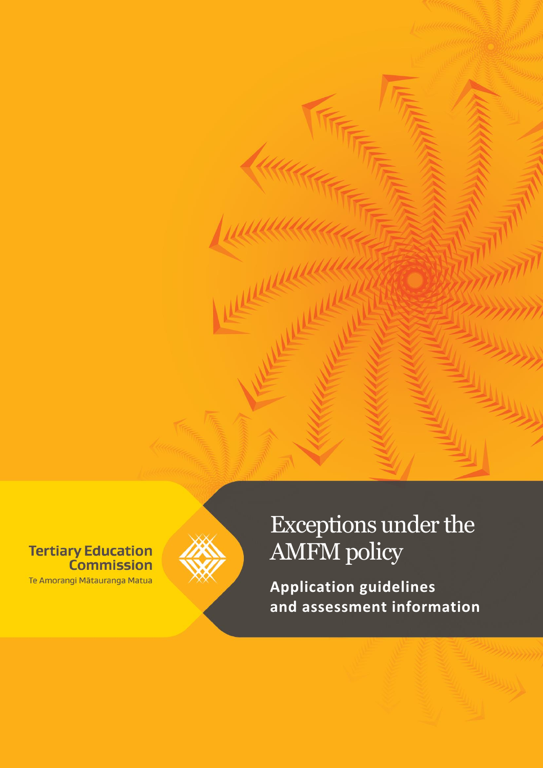**Tertiary Education Commission** Te Amorangi Mātauranga Matua



# Exceptions under the AMFM policy

**Application guidelines and assessment information**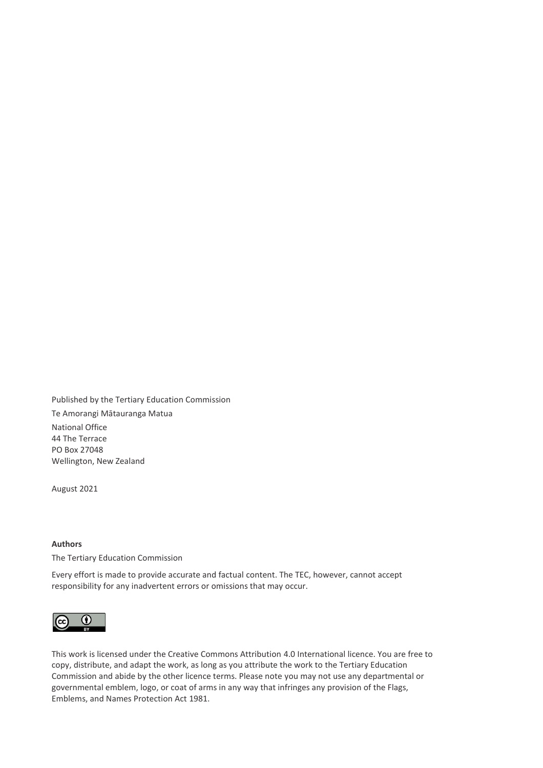Published by the Tertiary Education Commission Te Amorangi Mātauranga Matua

National Office 44 The Terrace PO Box 27048 Wellington, New Zealand

August 2021

#### **Authors**

The Tertiary Education Commission

Every effort is made to provide accurate and factual content. The TEC, however, cannot accept responsibility for any inadvertent errors or omissions that may occur.



This work is licensed under the Creative Commons Attribution 4.0 International licence. You are free to copy, distribute, and adapt the work, as long as you attribute the work to the Tertiary Education Commission and abide by the other licence terms. Please note you may not use any departmental or governmental emblem, logo, or coat of arms in any way that infringes any provision of the Flags, Emblems, and Names Protection Act 1981.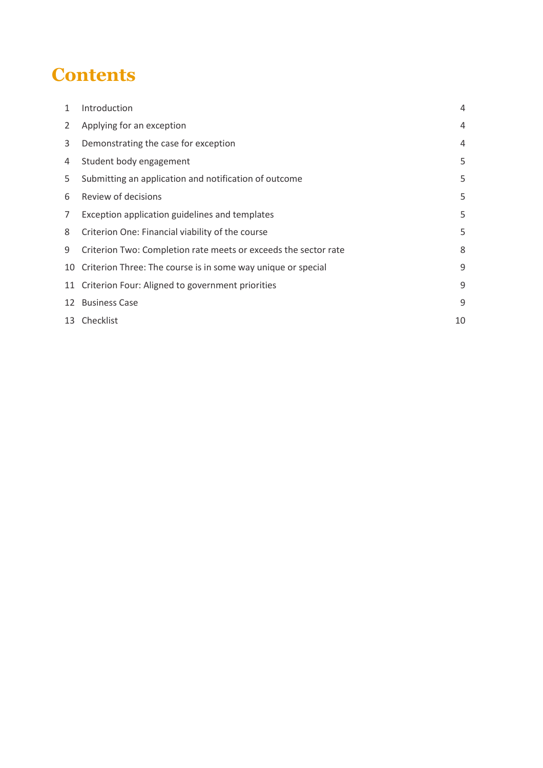## **Contents**

| 1              | Introduction                                                    | 4  |
|----------------|-----------------------------------------------------------------|----|
| $\overline{2}$ | Applying for an exception                                       | 4  |
| 3              | Demonstrating the case for exception                            | 4  |
| 4              | Student body engagement                                         | 5  |
| 5              | Submitting an application and notification of outcome           | 5  |
| 6              | Review of decisions                                             | 5  |
| 7              | Exception application guidelines and templates                  | 5  |
| 8              | Criterion One: Financial viability of the course                | 5  |
| 9              | Criterion Two: Completion rate meets or exceeds the sector rate | 8  |
| 10             | Criterion Three: The course is in some way unique or special    | 9  |
|                | 11 Criterion Four: Aligned to government priorities             | 9  |
| 12             | <b>Business Case</b>                                            | 9  |
|                | 13 Checklist                                                    | 10 |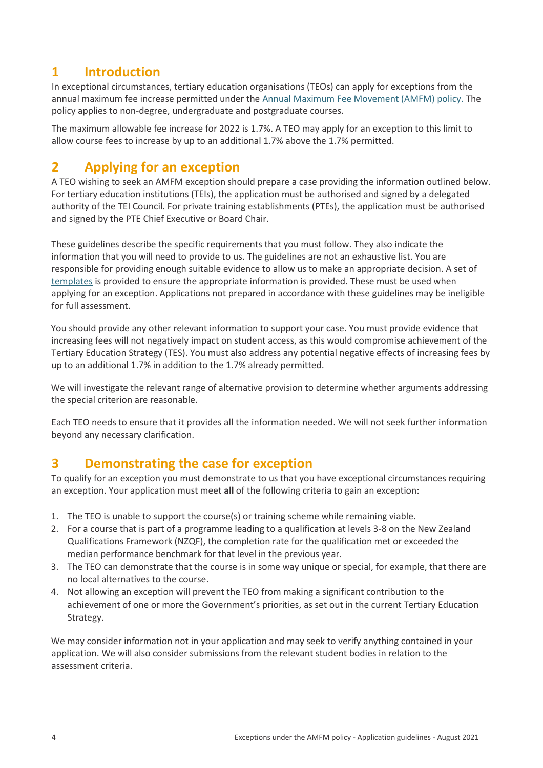## <span id="page-3-0"></span>**1 Introduction**

In exceptional circumstances, tertiary education organisations (TEOs) can apply for exceptions from the annual maximum fee increase permitted under the [Annual Maximum Fee Movement \(AMFM\) policy](https://www.tec.govt.nz/funding/funding-and-performance/funding/fund-finder/student-achievement-component-provision-at-level-3-and-above-on-the-nzqf-fund/qualifications-and-courses/#AccordionItem4907)[.](http://www.tec.govt.nz/funding/funding-and-performance/funding/fund-finder/sac-level-3-and-above/qualifications-and-courses/) The policy applies to non-degree, undergraduate and postgraduate courses.

The maximum allowable fee increase for 2022 is 1.7%. A TEO may apply for an exception to this limit to allow course fees to increase by up to an additional 1.7% above the 1.7% permitted.

## <span id="page-3-1"></span>**2 Applying for an exception**

A TEO wishing to seek an AMFM exception should prepare a case providing the information outlined below. For tertiary education institutions (TEIs), the application must be authorised and signed by a delegated authority of the TEI Council. For private training establishments (PTEs), the application must be authorised and signed by the PTE Chief Executive or Board Chair.

These guidelines describe the specific requirements that you must follow. They also indicate the information that you will need to provide to us. The guidelines are not an exhaustive list. You are responsible for providing enough suitable evidence to allow us to make an appropriate decision. A set of [templates](https://www.tec.govt.nz/funding/funding-and-performance/funding/fund-finder/student-achievement-component-provision-at-level-3-and-above-on-the-nzqf-fund/qualifications-and-courses/#AccordionItem4907) is provided to ensure the appropriate information is provided. These must be used when applying for an exception. Applications not prepared in accordance with these guidelines may be ineligible for full assessment.

You should provide any other relevant information to support your case. You must provide evidence that increasing fees will not negatively impact on student access, as this would compromise achievement of the Tertiary Education Strategy (TES). You must also address any potential negative effects of increasing fees by up to an additional 1.7% in addition to the 1.7% already permitted.

We will investigate the relevant range of alternative provision to determine whether arguments addressing the special criterion are reasonable.

Each TEO needs to ensure that it provides all the information needed. We will not seek further information beyond any necessary clarification.

## <span id="page-3-2"></span>**3 Demonstrating the case for exception**

To qualify for an exception you must demonstrate to us that you have exceptional circumstances requiring an exception. Your application must meet **all** of the following criteria to gain an exception:

- 1. The TEO is unable to support the course(s) or training scheme while remaining viable.
- 2. For a course that is part of a programme leading to a qualification at levels 3-8 on the New Zealand Qualifications Framework (NZQF), the completion rate for the qualification met or exceeded the median performance benchmark for that level in the previous year.
- 3. The TEO can demonstrate that the course is in some way unique or special, for example, that there are no local alternatives to the course.
- 4. Not allowing an exception will prevent the TEO from making a significant contribution to the achievement of one or more the Government's priorities, as set out in the current Tertiary Education Strategy.

We may consider information not in your application and may seek to verify anything contained in your application. We will also consider submissions from the relevant student bodies in relation to the assessment criteria.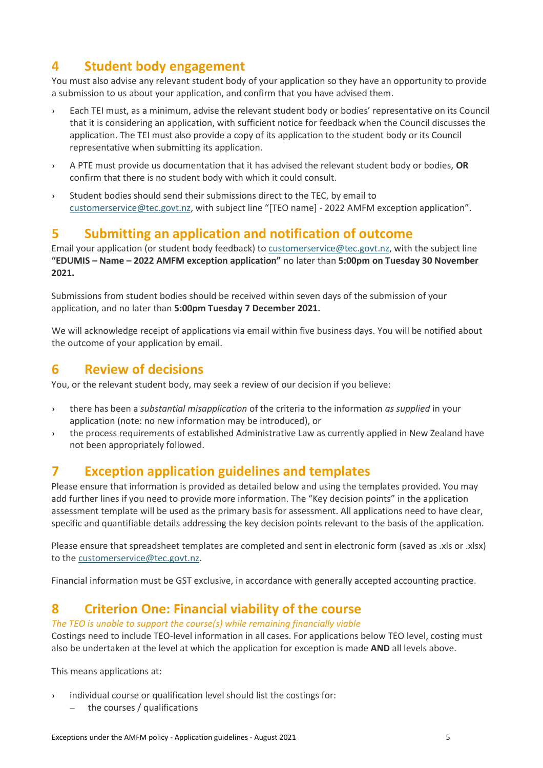## <span id="page-4-0"></span>**4 Student body engagement**

You must also advise any relevant student body of your application so they have an opportunity to provide a submission to us about your application, and confirm that you have advised them.

- › Each TEI must, as a minimum, advise the relevant student body or bodies' representative on its Council that it is considering an application, with sufficient notice for feedback when the Council discusses the application. The TEI must also provide a copy of its application to the student body or its Council representative when submitting its application.
- › A PTE must provide us documentation that it has advised the relevant student body or bodies, **OR** confirm that there is no student body with which it could consult.
- › Student bodies should send their submissions direct to the TEC, by email to [customerservice@tec.govt.nz](mailto:customerservice@tec.govt.nz), with subject line "[TEO name] - 2022 AMFM exception application".

## <span id="page-4-1"></span>**5 Submitting an application and notification of outcome**

Email your application (or student body feedback) to [customerservice@tec.govt.nz,](mailto:customerservice@tec.govt.nz) with the subject line **"EDUMIS – Name – 2022 AMFM exception application"** no later than **5:00pm on Tuesday 30 November 2021.** 

Submissions from student bodies should be received within seven days of the submission of your application, and no later than **5:00pm Tuesday 7 December 2021.**

We will acknowledge receipt of applications via email within five business days. You will be notified about the outcome of your application by email.

## <span id="page-4-2"></span>**6 Review of decisions**

You, or the relevant student body, may seek a review of our decision if you believe:

- › there has been a *substantial misapplication* of the criteria to the information *as supplied* in your application (note: no new information may be introduced), or
- › the process requirements of established Administrative Law as currently applied in New Zealand have not been appropriately followed.

## <span id="page-4-3"></span>**7 Exception application guidelines and templates**

Please ensure that information is provided as detailed below and using the templates provided. You may add further lines if you need to provide more information. The "Key decision points" in the application assessment template will be used as the primary basis for assessment. All applications need to have clear, specific and quantifiable details addressing the key decision points relevant to the basis of the application.

Please ensure that spreadsheet templates are completed and sent in electronic form (saved as .xls or .xlsx) to the [customerservice@tec.govt.nz.](mailto:customerservice@tec.govt.nz)

Financial information must be GST exclusive, in accordance with generally accepted accounting practice.

## <span id="page-4-4"></span>**8 Criterion One: Financial viability of the course**

*The TEO is unable to support the course(s) while remaining financially viable* Costings need to include TEO-level information in all cases. For applications below TEO level, costing must also be undertaken at the level at which the application for exception is made **AND** all levels above.

This means applications at:

- › individual course or qualification level should list the costings for:
	- ‒ the courses / qualifications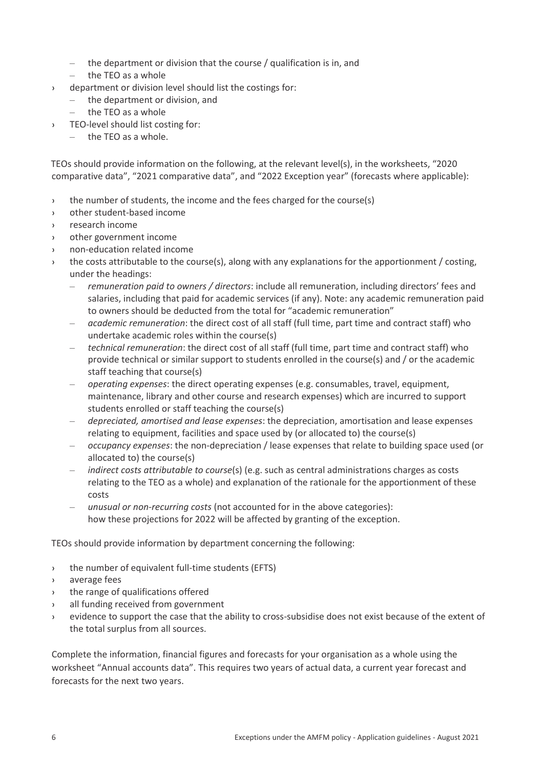- $-$  the department or division that the course / qualification is in, and
- $-$  the TEO as a whole
- › department or division level should list the costings for:
	- ‒ the department or division, and
	- ‒ the TEO as a whole
- › TEO-level should list costing for:
	- the TEO as a whole.

TEOs should provide information on the following, at the relevant level(s), in the worksheets, "2020 comparative data", "2021 comparative data", and "2022 Exception year" (forecasts where applicable):

- › the number of students, the income and the fees charged for the course(s)
- › other student-based income
- › research income
- › other government income
- non-education related income
- $\rightarrow$  the costs attributable to the course(s), along with any explanations for the apportionment / costing, under the headings:
	- ‒ *remuneration paid to owners / directors*: include all remuneration, including directors' fees and salaries, including that paid for academic services (if any). Note: any academic remuneration paid to owners should be deducted from the total for "academic remuneration"
	- ‒ *academic remuneration*: the direct cost of all staff (full time, part time and contract staff) who undertake academic roles within the course(s)
	- ‒ *technical remuneration*: the direct cost of all staff (full time, part time and contract staff) who provide technical or similar support to students enrolled in the course(s) and / or the academic staff teaching that course(s)
	- ‒ *operating expenses*: the direct operating expenses (e.g. consumables, travel, equipment, maintenance, library and other course and research expenses) which are incurred to support students enrolled or staff teaching the course(s)
	- ‒ *depreciated, amortised and lease expenses*: the depreciation, amortisation and lease expenses relating to equipment, facilities and space used by (or allocated to) the course(s)
	- ‒ *occupancy expenses*: the non-depreciation / lease expenses that relate to building space used (or allocated to) the course(s)
	- ‒ *indirect costs attributable to course*(s) (e.g. such as central administrations charges as costs relating to the TEO as a whole) and explanation of the rationale for the apportionment of these costs
	- ‒ *unusual or non-recurring costs* (not accounted for in the above categories): how these projections for 2022 will be affected by granting of the exception.

TEOs should provide information by department concerning the following:

- › the number of equivalent full-time students (EFTS)
- › average fees
- › the range of qualifications offered
- › all funding received from government
- evidence to support the case that the ability to cross-subsidise does not exist because of the extent of the total surplus from all sources.

Complete the information, financial figures and forecasts for your organisation as a whole using the worksheet "Annual accounts data". This requires two years of actual data, a current year forecast and forecasts for the next two years.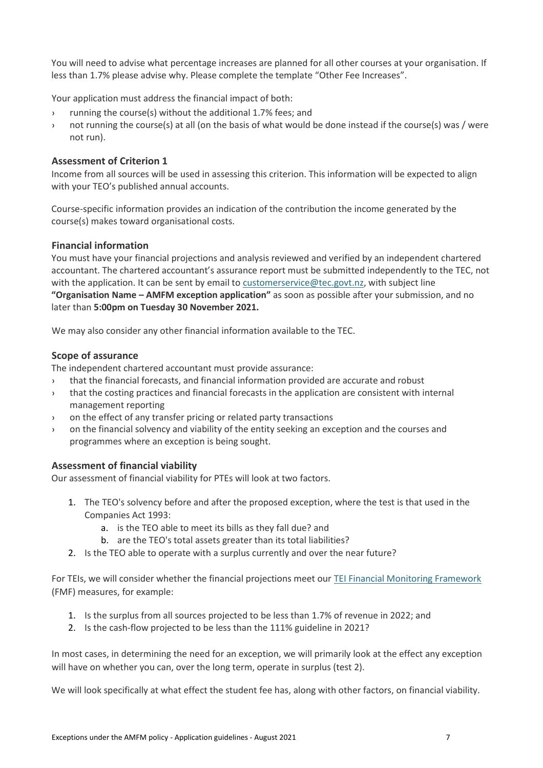You will need to advise what percentage increases are planned for all other courses at your organisation. If less than 1.7% please advise why. Please complete the template "Other Fee Increases".

Your application must address the financial impact of both:

- › running the course(s) without the additional 1.7% fees; and
- › not running the course(s) at all (on the basis of what would be done instead if the course(s) was / were not run).

#### **Assessment of Criterion 1**

Income from all sources will be used in assessing this criterion. This information will be expected to align with your TEO's published annual accounts.

Course-specific information provides an indication of the contribution the income generated by the course(s) makes toward organisational costs.

#### **Financial information**

You must have your financial projections and analysis reviewed and verified by an independent chartered accountant. The chartered accountant's assurance report must be submitted independently to the TEC, not with the application. It can be sent by email to [customerservice@tec.govt.nz,](mailto:customerservice@tec.govt.nz) with subject line **"Organisation Name – AMFM exception application"** as soon as possible after your submission, and no later than **5:00pm on Tuesday 30 November 2021.**

We may also consider any other financial information available to the TEC.

#### **Scope of assurance**

The independent chartered accountant must provide assurance:

- › that the financial forecasts, and financial information provided are accurate and robust
- › that the costing practices and financial forecasts in the application are consistent with internal management reporting
- › on the effect of any transfer pricing or related party transactions
- › on the financial solvency and viability of the entity seeking an exception and the courses and programmes where an exception is being sought.

#### **Assessment of financial viability**

Our assessment of financial viability for PTEs will look at two factors.

- 1. The TEO's solvency before and after the proposed exception, where the test is that used in the Companies Act 1993:
	- a. is the TEO able to meet its bills as they fall due? and
	- b. are the TEO's total assets greater than its total liabilities?
- 2. Is the TEO able to operate with a surplus currently and over the near future?

For TEIs, we will consider whether the financial projections meet our [TEI Financial Monitoring Framework](http://www.tec.govt.nz/funding/funding-and-performance/monitoring-tertiary-education-sector/financial/) (FMF) measures, for example:

- 1. Is the surplus from all sources projected to be less than 1.7% of revenue in 2022; and
- 2. Is the cash-flow projected to be less than the 111% guideline in 2021?

In most cases, in determining the need for an exception, we will primarily look at the effect any exception will have on whether you can, over the long term, operate in surplus (test 2).

We will look specifically at what effect the student fee has, along with other factors, on financial viability.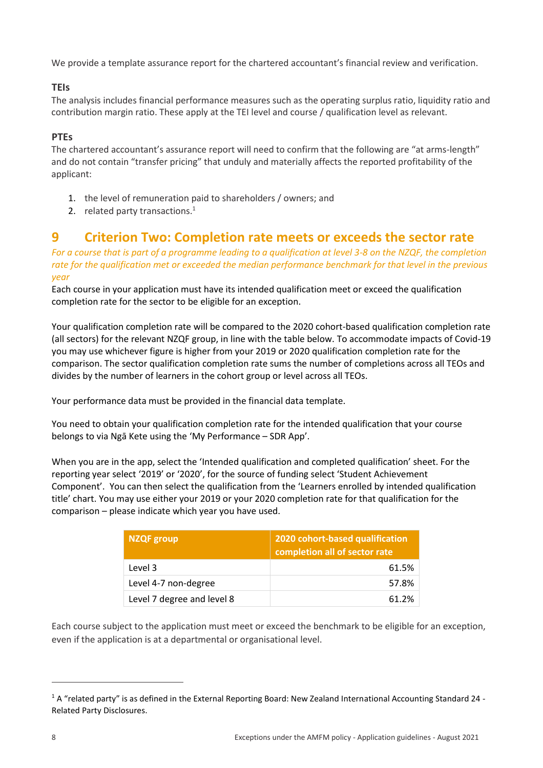We provide a template assurance report for the chartered accountant's financial review and verification.

#### **TEIs**

The analysis includes financial performance measures such as the operating surplus ratio, liquidity ratio and contribution margin ratio. These apply at the TEI level and course / qualification level as relevant.

#### **PTEs**

The chartered accountant's assurance report will need to confirm that the following are "at arms-length" and do not contain "transfer pricing" that unduly and materially affects the reported profitability of the applicant:

- 1. the level of remuneration paid to shareholders / owners; and
- 2. related party transactions. $<sup>1</sup>$ </sup>

## <span id="page-7-0"></span>**9 Criterion Two: Completion rate meets or exceeds the sector rate**

*For a course that is part of a programme leading to a qualification at level 3-8 on the NZQF, the completion rate for the qualification met or exceeded the median performance benchmark for that level in the previous year* 

Each course in your application must have its intended qualification meet or exceed the qualification completion rate for the sector to be eligible for an exception.

Your qualification completion rate will be compared to the 2020 cohort-based qualification completion rate (all sectors) for the relevant NZQF group, in line with the table below. To accommodate impacts of Covid-19 you may use whichever figure is higher from your 2019 or 2020 qualification completion rate for the comparison. The sector qualification completion rate sums the number of completions across all TEOs and divides by the number of learners in the cohort group or level across all TEOs.

Your performance data must be provided in the financial data template.

You need to obtain your qualification completion rate for the intended qualification that your course belongs to via Ngā Kete using the 'My Performance – SDR App'.

When you are in the app, select the 'Intended qualification and completed qualification' sheet. For the reporting year select '2019' or '2020', for the source of funding select 'Student Achievement Component'. You can then select the qualification from the 'Learners enrolled by intended qualification title' chart. You may use either your 2019 or your 2020 completion rate for that qualification for the comparison – please indicate which year you have used.

| NZQF group                 | 2020 cohort-based qualification<br>completion all of sector rate |
|----------------------------|------------------------------------------------------------------|
| Level 3                    | 61.5%                                                            |
| Level 4-7 non-degree       | 57.8%                                                            |
| Level 7 degree and level 8 | 61.2%                                                            |

Each course subject to the application must meet or exceed the benchmark to be eligible for an exception, even if the application is at a departmental or organisational level.

 $\overline{a}$ 

<sup>1</sup> A "related party" is as defined in the External Reporting Board: New Zealand International Accounting Standard 24 - Related Party Disclosures.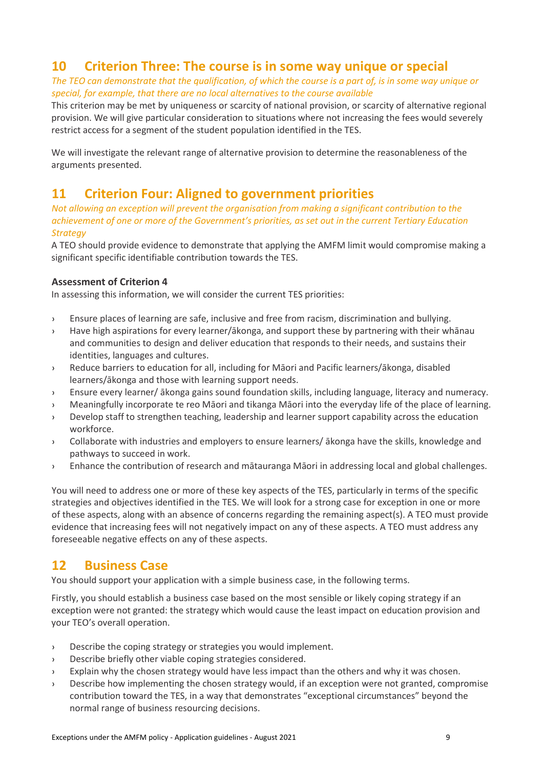## <span id="page-8-0"></span>**10 Criterion Three: The course is in some way unique or special**

*The TEO can demonstrate that the qualification, of which the course is a part of, is in some way unique or special, for example, that there are no local alternatives to the course available* 

This criterion may be met by uniqueness or scarcity of national provision, or scarcity of alternative regional provision. We will give particular consideration to situations where not increasing the fees would severely restrict access for a segment of the student population identified in the TES.

We will investigate the relevant range of alternative provision to determine the reasonableness of the arguments presented.

## <span id="page-8-1"></span>**11 Criterion Four: Aligned to government priorities**

*Not allowing an exception will prevent the organisation from making a significant contribution to the achievement of one or more of the Government's priorities, as set out in the current Tertiary Education Strategy*

A TEO should provide evidence to demonstrate that applying the AMFM limit would compromise making a significant specific identifiable contribution towards the TES.

#### **Assessment of Criterion 4**

In assessing this information, we will consider the current TES priorities:

- › Ensure places of learning are safe, inclusive and free from racism, discrimination and bullying.
- › Have high aspirations for every learner/ākonga, and support these by partnering with their whānau and communities to design and deliver education that responds to their needs, and sustains their identities, languages and cultures.
- › Reduce barriers to education for all, including for Māori and Pacific learners/ākonga, disabled learners/ākonga and those with learning support needs.
- › Ensure every learner/ ākonga gains sound foundation skills, including language, literacy and numeracy.
- › Meaningfully incorporate te reo Māori and tikanga Māori into the everyday life of the place of learning.
- › Develop staff to strengthen teaching, leadership and learner support capability across the education workforce.
- › Collaborate with industries and employers to ensure learners/ ākonga have the skills, knowledge and pathways to succeed in work.
- › Enhance the contribution of research and mātauranga Māori in addressing local and global challenges.

You will need to address one or more of these key aspects of the TES, particularly in terms of the specific strategies and objectives identified in the TES. We will look for a strong case for exception in one or more of these aspects, along with an absence of concerns regarding the remaining aspect(s). A TEO must provide evidence that increasing fees will not negatively impact on any of these aspects. A TEO must address any foreseeable negative effects on any of these aspects.

## <span id="page-8-2"></span>**12 Business Case**

You should support your application with a simple business case, in the following terms.

Firstly, you should establish a business case based on the most sensible or likely coping strategy if an exception were not granted: the strategy which would cause the least impact on education provision and your TEO's overall operation.

- › Describe the coping strategy or strategies you would implement.
- › Describe briefly other viable coping strategies considered.
- › Explain why the chosen strategy would have less impact than the others and why it was chosen.
- › Describe how implementing the chosen strategy would, if an exception were not granted, compromise contribution toward the TES, in a way that demonstrates "exceptional circumstances" beyond the normal range of business resourcing decisions.